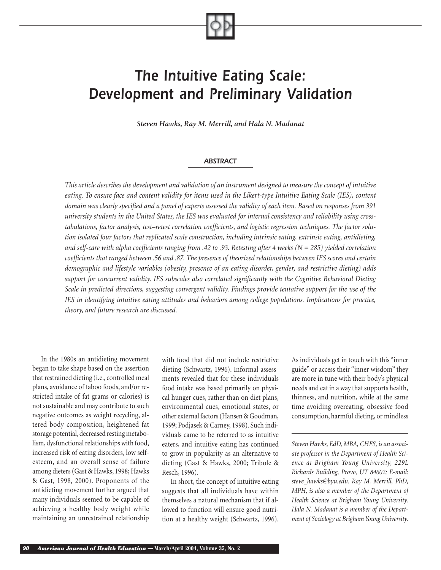

# *The Intuitive Eating Scale: Development and Preliminary Validation*

*Steven Hawks, Ray M. Merrill, and Hala N. Madanat*

#### *ABSTRACT*

*This article describes the development and validation of an instrument designed to measure the concept of intuitive eating. To ensure face and content validity for items used in the Likert-type Intuitive Eating Scale (IES), content domain was clearly specified and a panel of experts assessed the validity of each item. Based on responses from 391 university students in the United States, the IES was evaluated for internal consistency and reliability using crosstabulations, factor analysis, test–retest correlation coefficients, and logistic regression techniques. The factor solution isolated four factors that replicated scale construction, including intrinsic eating, extrinsic eating, antidieting, and self-care with alpha coefficients ranging from .42 to .93. Retesting after 4 weeks (N = 285) yielded correlation coefficients that ranged between .56 and .87. The presence of theorized relationships between IES scores and certain demographic and lifestyle variables (obesity, presence of an eating disorder, gender, and restrictive dieting) adds support for concurrent validity. IES subscales also correlated significantly with the Cognitive Behavioral Dieting Scale in predicted directions, suggesting convergent validity. Findings provide tentative support for the use of the IES in identifying intuitive eating attitudes and behaviors among college populations. Implications for practice, theory, and future research are discussed.*

In the 1980s an antidieting movement began to take shape based on the assertion that restrained dieting (i.e., controlled meal plans, avoidance of taboo foods, and/or restricted intake of fat grams or calories) is not sustainable and may contribute to such negative outcomes as weight recycling, altered body composition, heightened fat storage potential, decreased resting metabolism, dysfunctional relationships with food, increased risk of eating disorders, low selfesteem, and an overall sense of failure among dieters (Gast & Hawks, 1998; Hawks & Gast, 1998, 2000). Proponents of the antidieting movement further argued that many individuals seemed to be capable of achieving a healthy body weight while maintaining an unrestrained relationship with food that did not include restrictive dieting (Schwartz, 1996). Informal assessments revealed that for these individuals food intake was based primarily on physical hunger cues, rather than on diet plans, environmental cues, emotional states, or other external factors (Hansen & Goodman, 1999; Podjasek & Carney, 1998). Such individuals came to be referred to as intuitive eaters, and intuitive eating has continued to grow in popularity as an alternative to dieting (Gast & Hawks, 2000; Tribole & Resch, 1996).

In short, the concept of intuitive eating suggests that all individuals have within themselves a natural mechanism that if allowed to function will ensure good nutrition at a healthy weight (Schwartz, 1996). As individuals get in touch with this "inner guide" or access their "inner wisdom" they are more in tune with their body's physical needs and eat in a way that supports health, thinness, and nutrition, while at the same time avoiding overeating, obsessive food consumption, harmful dieting, or mindless

*Steven Hawks, EdD, MBA, CHES, is an associate professor in the Department of Health Science at Brigham Young University, 229L Richards Building, Provo, UT 84602; E-mail: steve\_hawks@byu.edu. Ray M. Merrill, PhD, MPH, is also a member of the Department of Health Science at Brigham Young University. Hala N. Madanat is a member of the Department of Sociology at Brigham Young University.*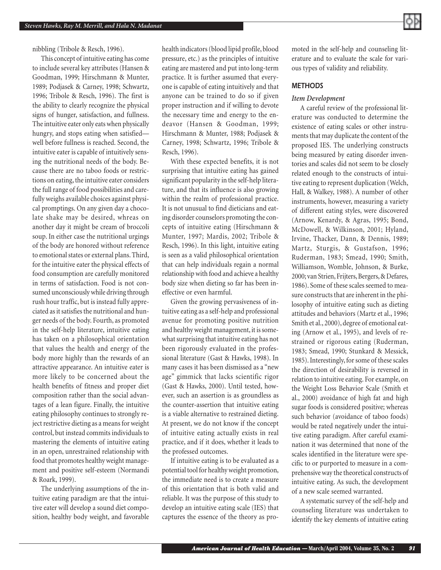nibbling (Tribole & Resch, 1996).

This concept of intuitive eating has come to include several key attributes (Hansen & Goodman, 1999; Hirschmann & Munter, 1989; Podjasek & Carney, 1998; Schwartz, 1996; Tribole & Resch, 1996). The first is the ability to clearly recognize the physical signs of hunger, satisfaction, and fullness. The intuitive eater only eats when physically hungry, and stops eating when satisfied well before fullness is reached. Second, the intuitive eater is capable of intuitively sensing the nutritional needs of the body. Because there are no taboo foods or restrictions on eating, the intuitive eater considers the full range of food possibilities and carefully weighs available choices against physical promptings. On any given day a chocolate shake may be desired, whreas on another day it might be cream of broccoli soup. In either case the nutritional urgings of the body are honored without reference to emotional states or external plans. Third, for the intuitive eater the physical effects of food consumption are carefully monitored in terms of satisfaction. Food is not consumed unconsciously while driving through rush hour traffic, but is instead fully appreciated as it satisfies the nutritional and hunger needs of the body. Fourth, as promoted in the self-help literature, intuitive eating has taken on a philosophical orientation that values the health and energy of the body more highly than the rewards of an attractive appearance. An intuitive eater is more likely to be concerned about the health benefits of fitness and proper diet composition rather than the social advantages of a lean figure. Finally, the intuitive eating philosophy continues to strongly reject restrictive dieting as a means for weight control, but instead commits individuals to mastering the elements of intuitive eating in an open, unrestrained relationship with food that promotes healthy weight management and positive self-esteem (Normandi & Roark, 1999).

The underlying assumptions of the intuitive eating paradigm are that the intuitive eater will develop a sound diet composition, healthy body weight, and favorable health indicators (blood lipid profile, blood pressure, etc.) as the principles of intuitive eating are mastered and put into long-term practice. It is further assumed that everyone is capable of eating intuitively and that anyone can be trained to do so if given proper instruction and if willing to devote the necessary time and energy to the endeavor (Hansen & Goodman, 1999; Hirschmann & Munter, 1988; Podjasek & Carney, 1998; Schwartz, 1996; Tribole & Resch, 1996).

With these expected benefits, it is not surprising that intuitive eating has gained significant popularity in the self-help literature, and that its influence is also growing within the realm of professional practice. It is not unusual to find dieticians and eating disorder counselors promoting the concepts of intuitive eating (Hirschmann & Munter, 1997; Mardis, 2002; Tribole & Resch, 1996). In this light, intuitive eating is seen as a valid philosophical orientation that can help individuals regain a normal relationship with food and achieve a healthy body size when dieting so far has been ineffective or even harmful.

Given the growing pervasiveness of intuitive eating as a self-help and professional avenue for promoting positive nutrition and healthy weight management, it is somewhat surprising that intuitive eating has not been rigorously evaluated in the professional literature (Gast & Hawks, 1998). In many cases it has been dismissed as a "new age" gimmick that lacks scientific rigor (Gast & Hawks, 2000). Until tested, however, such an assertion is as groundless as the counter-assertion that intuitive eating is a viable alternative to restrained dieting. At present, we do not know if the concept of intuitive eating actually exists in real practice, and if it does, whether it leads to the professed outcomes.

If intuitive eating is to be evaluated as a potential tool for healthy weight promotion, the immediate need is to create a measure of this orientation that is both valid and reliable. It was the purpose of this study to develop an intuitive eating scale (IES) that captures the essence of the theory as pro-

moted in the self-help and counseling literature and to evaluate the scale for various types of validity and reliability.

## *METHODS*

## *Item Development*

A careful review of the professional literature was conducted to determine the existence of eating scales or other instruments that may duplicate the content of the proposed IES. The underlying constructs being measured by eating disorder inventories and scales did not seem to be closely related enough to the constructs of intuitive eating to represent duplication (Welch, Hall, & Walkey, 1988). A number of other instruments, however, measuring a variety of different eating styles, were discovered (Arnow, Kenardy, & Agras, 1995; Bond, McDowell, & Wilkinson, 2001; Hyland, Irvine, Thacker, Dann, & Dennis, 1989; Martz, Sturgis, & Gustafson, 1996; Ruderman, 1983; Smead, 1990; Smith, Williamson, Womble, Johnson, & Burke, 2000; van Strien, Frijters, Bergers, & Defares, 1986). Some of these scales seemed to measure constructs that are inherent in the philosophy of intuitive eating such as dieting attitudes and behaviors (Martz et al., 1996; Smith et al., 2000), degree of emotional eating (Arnow et al., 1995), and levels of restrained or rigorous eating (Ruderman, 1983; Smead, 1990; Stunkard & Messick, 1985). Interestingly, for some of these scales the direction of desirability is reversed in relation to intuitive eating. For example, on the Weight Loss Behavior Scale (Smith et al., 2000) avoidance of high fat and high sugar foods is considered positive; whereas such behavior (avoidance of taboo foods) would be rated negatively under the intuitive eating paradigm. After careful examination it was determined that none of the scales identified in the literature were specific to or purported to measure in a comprehensive way the theoretical constructs of intuitive eating. As such, the development of a new scale seemed warranted.

A systematic survey of the self-help and counseling literature was undertaken to identify the key elements of intuitive eating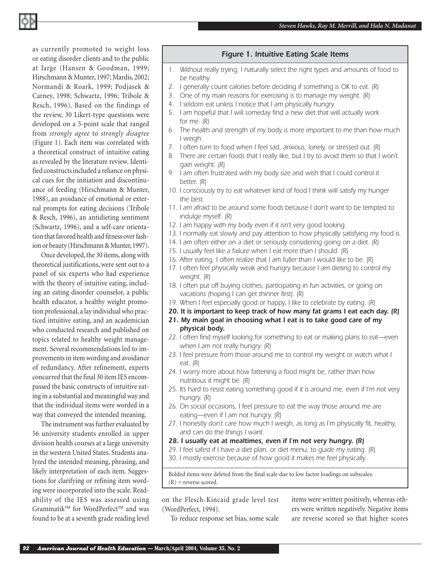as currently promoted to weight loss or eating disorder clients and to the public at large (Hansen & Goodman, 1999; Hirschmann & Munter, 1997; Mardis, 2002; Normandi & Roark, 1999; Podjasek & Carney, 1998; Schwartz, 1996; Tribole & Resch, 1996). Based on the findings of the review, 30 Likert-type questions were developed on a 5-point scale that ranged from *strongly agree* to *strongly disagree* (Figure 1). Each item was correlated with a theoretical construct of intuitive eating as revealed by the literature review. Identified constructs included a reliance on physical cues for the initiation and discontinuance of feeding (Hirschmann & Munter, 1988), an avoidance of emotional or external prompts for eating decisions (Tribole & Resch, 1996), an antidieting sentiment (Schwartz, 1996), and a self-care orientation that favored health and fitness over fashion or beauty (Hirschmann & Munter, 1997).

Once developed, the 30 items, along with theoretical justifications, were sent out to a panel of six experts who had experience with the theory of intuitive eating, including an eating disorder counselor, a public health educator, a healthy weight promotion professional, a lay individual who practiced intuitive eating, and an academician who conducted research and published on topics related to healthy weight management. Several recommendations led to improvements in item wording and avoidance of redundancy. After refinement, experts concurred that the final 30 item IES encompassed the basic constructs of intuitive eating in a substantial and meaningful way and that the individual items were worded in a way that conveyed the intended meaning.

The instrument was further evaluated by 56 university students enrolled in upper division health courses at a large university in the western United States. Students analyzed the intended meaning, phrasing, and likely interpretation of each item. Suggestions for clarifying or refining item wording were incorporated into the scale. Readability of the IES was assessed using Grammatik™ for WordPerfect™ and was found to be at a seventh grade reading level

## *Figure 1. Intuitive Eating Scale Items*

- *1. Without really trying, I naturally select the right types and amounts of food to be healthy.*
- *2. I generally count calories before deciding if something is OK to eat. (R)*
- *3. One of my main reasons for exercising is to manage my weight. (R)*
- *4. I seldom eat unless I notice that I am physically hungry.*
- *5. I am hopeful that I will someday find a new diet that will actually work for me. (R)*
- *6. The health and strength of my body is more important to me than how much I weigh.*
- *7. I often turn to food when I feel sad, anxious, lonely, or stressed out. (R)*
- *8. There are certain foods that I really like, but I try to avoid them so that I won't gain weight. (R)*
- *9. I am often frustrated with my body size and wish that I could control it better. (R)*
- *10. I consciously try to eat whatever kind of food I think will satisfy my hunger the best.*
- *11. I am afraid to be around some foods because I don't want to be tempted to indulge myself. (R)*
- *12. I am happy with my body even if it isn't very good looking.*
- *13. I normally eat slowly and pay attention to how physically satisfying my food is.*
- *14. I am often either on a diet or seriously considering going on a diet. (R)*
- *15. I usually feel like a failure when I eat more than I should. (R)*
- *16. After eating, I often realize that I am fuller than I would like to be. (R)*
- *17. I often feel physically weak and hungry because I am dieting to control my weight. (R)*
- *18. I often put off buying clothes, participating in fun activities, or going on vacations (hoping I can get thinner first). (R)*
- *19. When I feel especially good or happy, I like to celebrate by eating. (R)*
- *20. It is important to keep track of how many fat grams I eat each day. (R)*
- *21. My main goal in choosing what I eat is to take good care of my physical body.*
- *22. I often find myself looking for something to eat or making plans to eat—even when I am not really hungry. (R)*
- *23. I feel pressure from those around me to control my weight or watch what I eat. (R)*
- *24. I worry more about how fattening a food might be, rather than how nutritious it might be. (R)*
- *25. It's hard to resist eating something good if it is around me, even if I'm not very hungry. (R)*
- *26. On social occasions, I feel pressure to eat the way those around me are eating—even if I am not hungry. (R)*
- *27. I honestly don't care how much I weigh, as long as I'm physically fit, healthy, and can do the things I want.*
- *28. I usually eat at mealtimes, even if I'm not very hungry. (R)*
- *29. I feel safest if I have a diet plan, or diet menu, to guide my eating. (R)*
- *30. I mostly exercise because of how good it makes me feel physically.*

Bolded items were deleted from the final scale due to low factor loadings on subscales.  $(R)$  = reverse scored.

on the Flesch-Kincaid grade level test (WordPerfect, 1994).

items were written positively, whereas others were written negatively. Negative items are reverse scored so that higher scores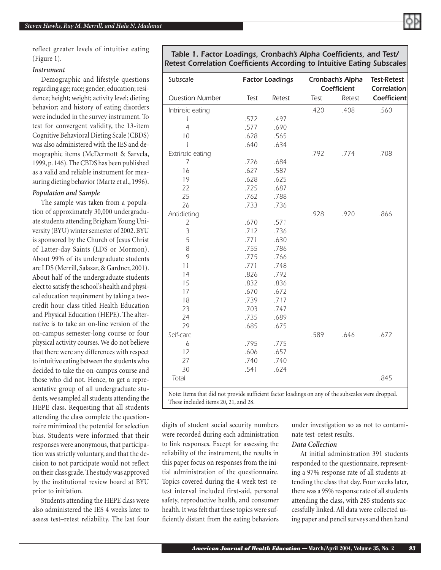*Steven Hawks, Ray M. Merrill, and Hala N. Madanat*

reflect greater levels of intuitive eating (Figure 1).

#### *Instrument*

Demographic and lifestyle questions regarding age; race; gender; education; residence; height; weight; activity level; dieting behavior; and history of eating disorders were included in the survey instrument. To test for convergent validity, the 13-item Cognitive Behavioral Dieting Scale (CBDS) was also administered with the IES and demographic items (McDermott & Sarvela, 1999, p. 146). The CBDS has been published as a valid and reliable instrument for measuring dieting behavior (Martz et al., 1996).

#### *Population and Sample*

The sample was taken from a population of approximately 30,000 undergraduate students attending Brigham Young University (BYU) winter semester of 2002. BYU is sponsored by the Church of Jesus Christ of Latter-day Saints (LDS or Mormon). About 99% of its undergraduate students are LDS (Merrill, Salazar, & Gardner, 2001). About half of the undergraduate students elect to satisfy the school's health and physical education requirement by taking a twocredit hour class titled Health Education and Physical Education (HEPE). The alternative is to take an on-line version of the on-campus semester-long course or four physical activity courses. We do not believe that there were any differences with respect to intuitive eating between the students who decided to take the on-campus course and those who did not. Hence, to get a representative group of all undergraduate students, we sampled all students attending the HEPE class. Requesting that all students attending the class complete the questionnaire minimized the potential for selection bias. Students were informed that their responses were anonymous, that participation was strictly voluntary, and that the decision to not participate would not reflect on their class grade. The study was approved by the institutional review board at BYU prior to initiation.

Students attending the HEPE class were also administered the IES 4 weeks later to assess test–retest reliability. The last four

*Table 1. Factor Loadings, Cronbach's Alpha Coefficients, and Test/ Retest Correlation Coefficients According to Intuitive Eating Subscales*

| Subscale               |      | <b>Factor Loadings</b> |      | Cronbach's Alpha<br>Coefficient |             |  |
|------------------------|------|------------------------|------|---------------------------------|-------------|--|
| <b>Question Number</b> | Test | Retest                 | Test | Retest                          | Coefficient |  |
| Intrinsic eating       |      |                        | .420 | .408                            | .560        |  |
| 1                      | .572 | .497                   |      |                                 |             |  |
| $\overline{4}$         | .577 | .690                   |      |                                 |             |  |
| 10                     | .628 | .565                   |      |                                 |             |  |
| 1                      | .640 | .634                   |      |                                 |             |  |
| Extrinsic eating       |      |                        | .792 | .774                            | .708        |  |
| 7                      | .726 | .684                   |      |                                 |             |  |
| 16                     | .627 | .587                   |      |                                 |             |  |
| 19                     | .628 | .625                   |      |                                 |             |  |
| 22                     | .725 | .687                   |      |                                 |             |  |
| 25                     | .762 | .788                   |      |                                 |             |  |
| 26                     | .733 | .736                   |      |                                 |             |  |
| Antidieting            |      |                        | .928 | .920                            | .866        |  |
| 2                      | .670 | .571                   |      |                                 |             |  |
| 3                      | .712 | .736                   |      |                                 |             |  |
| 5                      | .771 | .630                   |      |                                 |             |  |
| 8                      | .755 | .786                   |      |                                 |             |  |
| 9                      | .775 | .766                   |      |                                 |             |  |
| 11                     | .771 | .748                   |      |                                 |             |  |
| 14                     | .826 | .792                   |      |                                 |             |  |
| 15                     | .832 | .836                   |      |                                 |             |  |
| 17                     | .670 | .672                   |      |                                 |             |  |
| 18                     | .739 | .717                   |      |                                 |             |  |
| 23                     | .703 | .747                   |      |                                 |             |  |
| 24                     | .735 | .689                   |      |                                 |             |  |
| 29                     | .685 | .675                   |      |                                 |             |  |
| Self-care              |      |                        | .589 | .646                            | .672        |  |
| 6                      | .795 | .775                   |      |                                 |             |  |
| 12                     | .606 | .657                   |      |                                 |             |  |
| 27                     | .740 | .740                   |      |                                 |             |  |
| 30                     | .541 | .624                   |      |                                 |             |  |
| Total                  |      |                        |      |                                 | .845        |  |
|                        |      |                        |      |                                 |             |  |

Note: Items that did not provide sufficient factor loadings on any of the subscales were dropped. These included items 20, 21, and 28.

digits of student social security numbers were recorded during each administration to link responses. Except for assessing the reliability of the instrument, the results in this paper focus on responses from the initial administration of the questionnaire. Topics covered during the 4 week test–retest interval included first-aid, personal safety, reproductive health, and consumer health. It was felt that these topics were sufficiently distant from the eating behaviors

under investigation so as not to contaminate test–retest results.

# *Data Collection*

At initial administration 391 students responded to the questionnaire, representing a 97% response rate of all students attending the class that day. Four weeks later, there was a 95% response rate of all students attending the class, with 285 students successfully linked. All data were collected using paper and pencil surveys and then hand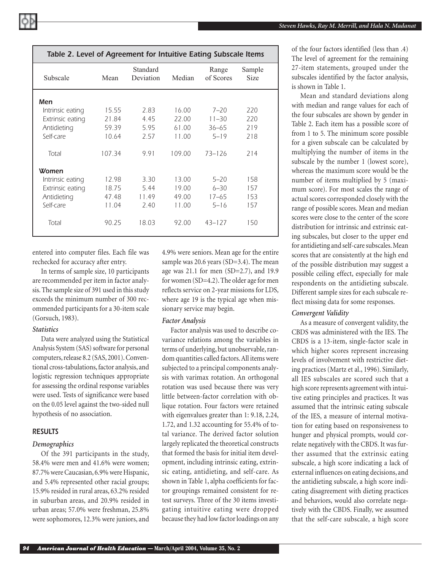| Table 2. Level of Agreement for Intuitive Eating Subscale Items |        |                                 |        |                    |                       |  |  |  |
|-----------------------------------------------------------------|--------|---------------------------------|--------|--------------------|-----------------------|--|--|--|
| Subscale                                                        | Mean   | Standard<br>Deviation<br>Median |        | Range<br>of Scores | Sample<br><b>Size</b> |  |  |  |
| Men                                                             |        |                                 |        |                    |                       |  |  |  |
| Intrinsic eating                                                | 15.55  | 2.83                            | 16.00  | $7 - 20$           | 220                   |  |  |  |
| Extrinsic eating                                                | 21.84  | 4.45                            | 22.00  | $11 - 30$          | 220                   |  |  |  |
| Antidieting                                                     | 59.39  | 5.95                            | 61.00  | $36 - 65$          | 219                   |  |  |  |
| Self-care                                                       | 10.64  | 2.57                            | 11.00  | $5 - 19$           | 218                   |  |  |  |
| Total                                                           | 107.34 | 9.91                            | 109.00 | $73 - 126$         | 214                   |  |  |  |
| Women                                                           |        |                                 |        |                    |                       |  |  |  |
| Intrinsic eating                                                | 12.98  | 3.30                            | 13.00  | $5 - 20$           | 158                   |  |  |  |
| Extrinsic eating                                                | 18.75  | 5.44                            | 19.00  | $6 - 30$           | 157                   |  |  |  |
| Antidieting                                                     | 47.48  | 11.49                           | 49.00  | $17 - 65$          | 153                   |  |  |  |
| Self-care                                                       | 11.04  | 2.40                            | 11.00  | $5 - 16$           | 157                   |  |  |  |
| Total                                                           | 90.25  | 18.03                           | 92.00  | $43 - 127$         | 150                   |  |  |  |

entered into computer files. Each file was rechecked for accuracy after entry.

In terms of sample size, 10 participants are recommended per item in factor analysis. The sample size of 391 used in this study exceeds the minimum number of 300 recommended participants for a 30-item scale (Gorsuch, 1983).

# *Statistics*

Data were analyzed using the Statistical Analysis System (SAS) software for personal computers, release 8.2 (SAS, 2001). Conventional cross-tabulations, factor analysis, and logistic regression techniques appropriate for assessing the ordinal response variables were used. Tests of significance were based on the 0.05 level against the two-sided null hypothesis of no association.

# *RESULTS*

#### *Demographics*

Of the 391 participants in the study, 58.4% were men and 41.6% were women; 87.7% were Caucasian, 6.9% were Hispanic, and 5.4% represented other racial groups; 15.9% resided in rural areas, 63.2% resided in suburban areas, and 20.9% resided in urban areas; 57.0% were freshman, 25.8% were sophomores, 12.3% were juniors, and

4.9% were seniors. Mean age for the entire sample was 20.6 years (SD=3.4). The mean age was 21.1 for men (SD=2.7), and 19.9 for women (SD=4.2). The older age for men reflects service on 2-year missions for LDS, where age 19 is the typical age when missionary service may begin.

#### *Factor Analysis*

Factor analysis was used to describe covariance relations among the variables in terms of underlying, but unobservable, random quantities called factors. All items were subjected to a principal components analysis with varimax rotation. An orthogonal rotation was used because there was very little between-factor correlation with oblique rotation. Four factors were retained with eigenvalues greater than 1: 9.18, 2.24, 1.72, and 1.32 accounting for 55.4% of total variance. The derived factor solution largely replicated the theoretical constructs that formed the basis for initial item development, including intrinsic eating, extrinsic eating, antidieting, and self-care. As shown in Table 1, alpha coefficients for factor groupings remained consistent for retest surveys. Three of the 30 items investigating intuitive eating were dropped because they had low factor loadings on any

of the four factors identified (less than .4) The level of agreement for the remaining 27-item statements, grouped under the subscales identified by the factor analysis, is shown in Table 1.

Mean and standard deviations along with median and range values for each of the four subscales are shown by gender in Table 2. Each item has a possible score of from 1 to 5. The minimum score possible for a given subscale can be calculated by multiplying the number of items in the subscale by the number 1 (lowest score), whereas the maximum score would be the number of items multiplied by 5 (maximum score). For most scales the range of actual scores corresponded closely with the range of possible scores. Mean and median scores were close to the center of the score distribution for intrinsic and extrinsic eating subscales, but closer to the upper end for antidieting and self-care subscales. Mean scores that are consistently at the high end of the possible distribution may suggest a possible ceiling effect, especially for male respondents on the antidieting subscale. Different sample sizes for each subscale reflect missing data for some responses.

#### *Convergent Validity*

As a measure of convergent validity, the CBDS was administered with the IES. The CBDS is a 13-item, single-factor scale in which higher scores represent increasing levels of involvement with restrictive dieting practices (Martz et al., 1996). Similarly, all IES subscales are scored such that a high score represents agreement with intuitive eating principles and practices. It was assumed that the intrinsic eating subscale of the IES, a measure of internal motivation for eating based on responsiveness to hunger and physical prompts, would correlate negatively with the CBDS. It was further assumed that the extrinsic eating subscale, a high score indicating a lack of external influences on eating decisions, and the antidieting subscale, a high score indicating disagreement with dieting practices and behaviors, would also correlate negatively with the CBDS. Finally, we assumed that the self-care subscale, a high score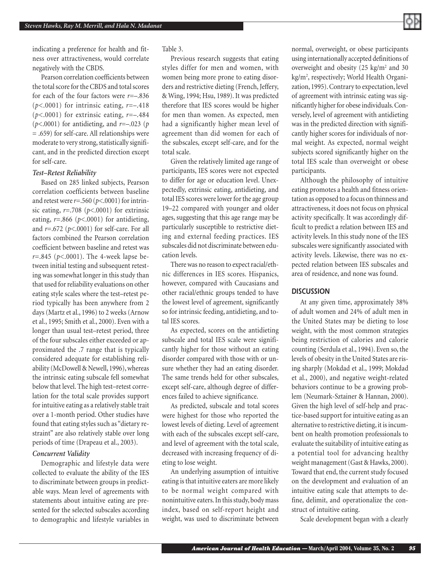indicating a preference for health and fitness over attractiveness, would correlate negatively with the CBDS.

Pearson correlation coefficients between the total score for the CBDS and total scores for each of the four factors were *r*=–.836 (*p*<.0001) for intrinsic eating, *r*=–.418 (*p*<.0001) for extrinsic eating, *r*=–.484 (*p*<.0001) for antidieting, and *r*=–.023 (*p* = .659) for self-care. All relationships were moderate to very strong, statistically significant, and in the predicted direction except for self-care.

#### *Test–Retest Reliability*

Based on 285 linked subjects, Pearson correlation coefficients between baseline and retest were  $r = .560 (p < .0001)$  for intrinsic eating,  $r = .708$  ( $p < .0001$ ) for extrinsic eating,  $r=0.866$  ( $p<0.0001$ ) for antidieting, and *r*=.672 (*p*<.0001) for self-care. For all factors combined the Pearson correlation coefficient between baseline and retest was *r*=.845 (*p*<.0001). The 4-week lapse between initial testing and subsequent retesting was somewhat longer in this study than that used for reliability evaluations on other eating style scales where the test–retest period typically has been anywhere from 2 days (Martz et al., 1996) to 2 weeks (Arnow et al., 1995; Smith et al., 2000). Even with a longer than usual test–retest period, three of the four subscales either exceeded or approximated the .7 range that is typically considered adequate for establishing reliability (McDowell & Newell, 1996), whereas the intrinsic eating subscale fell somewhat below that level. The high test–retest correlation for the total scale provides support for intuitive eating as a relatively stable trait over a 1-month period. Other studies have found that eating styles such as "dietary restraint" are also relatively stable over long periods of time (Drapeau et al., 2003).

#### *Concurrent Validity*

Demographic and lifestyle data were collected to evaluate the ability of the IES to discriminate between groups in predictable ways. Mean level of agreements with statements about intuitive eating are presented for the selected subscales according to demographic and lifestyle variables in

#### Table 3.

Previous research suggests that eating styles differ for men and women, with women being more prone to eating disorders and restrictive dieting (French, Jeffery, & Wing, 1994; Hsu, 1989). It was predicted therefore that IES scores would be higher for men than women. As expected, men had a significantly higher mean level of agreement than did women for each of the subscales, except self-care, and for the total scale.

Given the relatively limited age range of participants, IES scores were not expected to differ for age or education level. Unexpectedly, extrinsic eating, antidieting, and total IES scores were lower for the age group 19–22 compared with younger and older ages, suggesting that this age range may be particularly susceptible to restrictive dieting and external feeding practices. IES subscales did not discriminate between education levels.

There was no reason to expect racial/ethnic differences in IES scores. Hispanics, however, compared with Caucasians and other racial/ethnic groups tended to have the lowest level of agreement, significantly so for intrinsic feeding, antidieting, and total IES scores.

As expected, scores on the antidieting subscale and total IES scale were significantly higher for those without an eating disorder compared with those with or unsure whether they had an eating disorder. The same trends held for other subscales, except self-care, although degree of differences failed to achieve significance.

As predicted, subscale and total scores were highest for those who reported the lowest levels of dieting. Level of agreement with each of the subscales except self-care, and level of agreement with the total scale, decreased with increasing frequency of dieting to lose weight.

An underlying assumption of intuitive eating is that intuitive eaters are more likely to be normal weight compared with nonintuitive eaters. In this study, body mass index, based on self-report height and weight, was used to discriminate between

normal, overweight, or obese participants using internationally accepted definitions of overweight and obesity (25 kg/m2 and 30 kg/m2 , respectively; World Health Organization, 1995). Contrary to expectation, level of agreement with intrinsic eating was significantly higher for obese individuals. Conversely, level of agreement with antidieting was in the predicted direction with significantly higher scores for individuals of normal weight. As expected, normal weight subjects scored significantly higher on the total IES scale than overweight or obese participants.

Although the philosophy of intuitive eating promotes a health and fitness orientation as opposed to a focus on thinness and attractiveness, it does not focus on physical activity specifically. It was accordingly difficult to predict a relation between IES and activity levels. In this study none of the IES subscales were significantly associated with activity levels. Likewise, there was no expected relation between IES subscales and area of residence, and none was found.

#### *DISCUSSION*

At any given time, approximately 38% of adult women and 24% of adult men in the United States may be dieting to lose weight, with the most common strategies being restriction of calories and calorie counting (Serdula et al., 1994). Even so, the levels of obesity in the United States are rising sharply (Mokdad et al., 1999; Mokdad et al., 2000), and negative weight-related behaviors continue to be a growing problem (Neumark-Sztainer & Hannan, 2000). Given the high level of self-help and practice-based support for intuitive eating as an alternative to restrictive dieting, it is incumbent on health promotion professionals to evaluate the suitability of intuitive eating as a potential tool for advancing healthy weight management (Gast & Hawks, 2000). Toward that end, the current study focused on the development and evaluation of an intuitive eating scale that attempts to define, delimit, and operationalize the construct of intuitive eating.

Scale development began with a clearly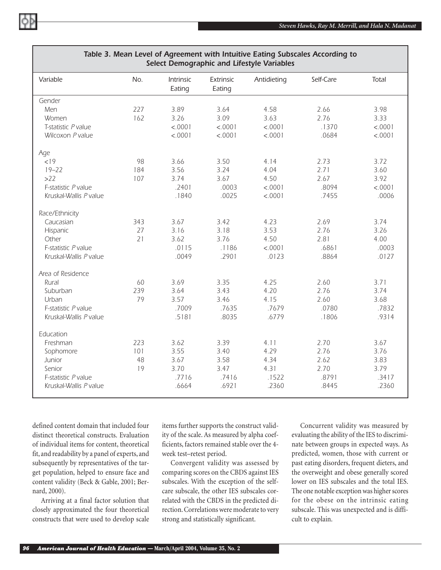| Select Demographic and Lifestyle Variables                                                              |                        |                                                |                                                |                                                |                                                |                                                |  |
|---------------------------------------------------------------------------------------------------------|------------------------|------------------------------------------------|------------------------------------------------|------------------------------------------------|------------------------------------------------|------------------------------------------------|--|
| Variable                                                                                                | No.                    | Intrinsic<br>Eating                            | Extrinsic<br>Eating                            | Antidieting                                    | Self-Care                                      | Total                                          |  |
| Gender<br>Men<br>Women<br>T-statistic P value<br>Wilcoxon P value                                       | 227<br>162             | 3.89<br>3.26<br>< .0001<br>< .0001             | 3.64<br>3.09<br>< .0001<br>< .0001             | 4.58<br>3.63<br>< .0001<br>< .0001             | 2.66<br>2.76<br>.1370<br>.0684                 | 3.98<br>3.33<br>< .0001<br>< .0001             |  |
| Age<br><19<br>$19 - 22$<br>>22<br>F-statistic P value<br>Kruskal-Wallis P value                         | 98<br>184<br>107       | 3.66<br>3.56<br>3.74<br>.2401<br>.1840         | 3.50<br>3.24<br>3.67<br>.0003<br>.0025         | 4.14<br>4.04<br>4.50<br>< .0001<br>< .0001     | 2.73<br>2.71<br>2.67<br>.8094<br>.7455         | 3.72<br>3.60<br>3.92<br>< .0001<br>.0006       |  |
| Race/Ethnicity<br>Caucasian<br>Hispanic<br>Other<br>F-statistic P value<br>Kruskal-Wallis P value       | 343<br>27<br>21        | 3.67<br>3.16<br>3.62<br>.0115<br>.0049         | 3.42<br>3.18<br>3.76<br>.1186<br>.2901         | 4.23<br>3.53<br>4.50<br>< .0001<br>.0123       | 2.69<br>2.76<br>2.81<br>.6861<br>.8864         | 3.74<br>3.26<br>4.00<br>.0003<br>.0127         |  |
| Area of Residence<br>Rural<br>Suburban<br>Urban<br>F-statistic P value<br>Kruskal-Wallis P value        | 60<br>239<br>79        | 3.69<br>3.64<br>3.57<br>.7009<br>.5181         | 3.35<br>3.43<br>3.46<br>.7635<br>.8035         | 4.25<br>4.20<br>4.15<br>.7679<br>.6779         | 2.60<br>2.76<br>2.60<br>.0780<br>.1806         | 3.71<br>3.74<br>3.68<br>.7832<br>.9314         |  |
| Education<br>Freshman<br>Sophomore<br>Junior<br>Senior<br>F-statistic P value<br>Kruskal-Wallis P value | 223<br>101<br>48<br>19 | 3.62<br>3.55<br>3.67<br>3.70<br>.7716<br>.6664 | 3.39<br>3.40<br>3.58<br>3.47<br>.7416<br>.6921 | 4.11<br>4.29<br>4.34<br>4.31<br>.1522<br>.2360 | 2.70<br>2.76<br>2.62<br>2.70<br>.8791<br>.8445 | 3.67<br>3.76<br>3.83<br>3.79<br>.3417<br>.2360 |  |

# *Table 3. Mean Level of Agreement with Intuitive Eating Subscales According to*

defined content domain that included four distinct theoretical constructs. Evaluation of individual items for content, theoretical fit, and readability by a panel of experts, and subsequently by representatives of the target population, helped to ensure face and content validity (Beck & Gable, 2001; Bernard, 2000).

Arriving at a final factor solution that closely approximated the four theoretical constructs that were used to develop scale items further supports the construct validity of the scale. As measured by alpha coefficients, factors remained stable over the 4 week test–retest period.

Convergent validity was assessed by comparing scores on the CBDS against IES subscales. With the exception of the selfcare subscale, the other IES subscales correlated with the CBDS in the predicted direction. Correlations were moderate to very strong and statistically significant.

Concurrent validity was measured by evaluating the ability of the IES to discriminate between groups in expected ways. As predicted, women, those with current or past eating disorders, frequent dieters, and the overweight and obese generally scored lower on IES subscales and the total IES. The one notable exception was higher scores for the obese on the intrinsic eating subscale. This was unexpected and is difficult to explain.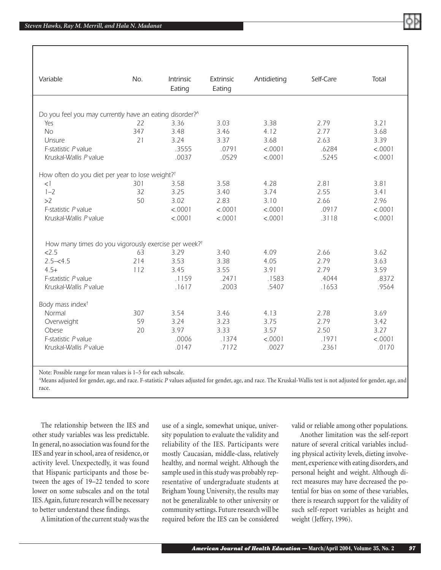| Variable                                                            | No.                                                         | Intrinsic<br>Eating | Extrinsic<br>Eating | Antidieting | Self-Care | Total   |  |  |
|---------------------------------------------------------------------|-------------------------------------------------------------|---------------------|---------------------|-------------|-----------|---------|--|--|
|                                                                     |                                                             |                     |                     |             |           |         |  |  |
| Do you feel you may currently have an eating disorder? <sup>A</sup> |                                                             |                     |                     |             |           |         |  |  |
| Yes                                                                 | 22                                                          | 3.36                | 3.03                | 3.38        | 2.79      | 3.21    |  |  |
| No                                                                  | 347                                                         | 3.48                | 3.46                | 4.12        | 2.77      | 3.68    |  |  |
| Unsure                                                              | 21                                                          | 3.24                | 3.37                | 3.68        | 2.63      | 3.39    |  |  |
| F-statistic P value                                                 |                                                             | .3555               | .0791               | < .0001     | .6284     | < .0001 |  |  |
| Kruskal-Wallis P value                                              |                                                             | .0037               | .0529               | < .0001     | .5245     | < .0001 |  |  |
|                                                                     | How often do you diet per year to lose weight? <sup>†</sup> |                     |                     |             |           |         |  |  |
| $\lt$ 1                                                             | 301                                                         | 3.58                | 3.58                | 4.28        | 2.81      | 3.81    |  |  |
| $1 - 2$                                                             | 32                                                          | 3.25                | 3.40                | 3.74        | 2.55      | 3.41    |  |  |
| >2                                                                  | 50                                                          | 3.02                | 2.83                | 3.10        | 2.66      | 2.96    |  |  |
| F-statistic P value                                                 |                                                             | < .0001             | < .0001             | < .0001     | .0917     | < .0001 |  |  |
| Kruskal-Wallis P value                                              |                                                             | < .0001             | < .0001             | < .0001     | .3118     | < .0001 |  |  |
|                                                                     |                                                             |                     |                     |             |           |         |  |  |
| How many times do you vigorously exercise per week? <sup>†</sup>    |                                                             |                     |                     |             |           |         |  |  |
| 2.5                                                                 | 63                                                          | 3.29                | 3.40                | 4.09        | 2.66      | 3.62    |  |  |
| $2.5 - 4.5$                                                         | 214                                                         | 3.53                | 3.38                | 4.05        | 2.79      | 3.63    |  |  |
| $4.5+$                                                              | 112                                                         | 3.45                | 3.55                | 3.91        | 2.79      | 3.59    |  |  |
| F-statistic P value                                                 |                                                             | .1159               | .2471               | .1583       | .4044     | .8372   |  |  |
| Kruskal-Wallis P value                                              |                                                             | .1617               | .2003               | .5407       | .1653     | .9564   |  |  |
| Body mass index <sup>†</sup>                                        |                                                             |                     |                     |             |           |         |  |  |
| Normal                                                              | 307                                                         | 3.54                | 3.46                | 4.13        | 2.78      | 3.69    |  |  |
| Overweight                                                          | 59                                                          | 3.24                | 3.23                | 3.75        | 2.79      | 3.42    |  |  |
| Obese                                                               | 20                                                          | 3.97                | 3.33                | 3.57        | 2.50      | 3.27    |  |  |
| F-statistic P value                                                 |                                                             | .0006               | .1374               | < .0001     | .1971     | < .0001 |  |  |
| Kruskal-Wallis P value                                              |                                                             | .0147               | .7172               | .0027       | .2361     | .0170   |  |  |
|                                                                     |                                                             |                     |                     |             |           |         |  |  |

Note: Possible range for mean values is 1–5 for each subscale.

AMeans adjusted for gender, age, and race. F-statistic *P* values adjusted for gender, age, and race. The Kruskal-Wallis test is not adjusted for gender, age, and race.

The relationship between the IES and other study variables was less predictable. In general, no association was found for the IES and year in school, area of residence, or activity level. Unexpectedly, it was found that Hispanic participants and those between the ages of 19–22 tended to score lower on some subscales and on the total IES. Again, future research will be necessary to better understand these findings.

A limitation of the current study was the

use of a single, somewhat unique, university population to evaluate the validity and reliability of the IES. Participants were mostly Caucasian, middle-class, relatively healthy, and normal weight. Although the sample used in this study was probably representative of undergraduate students at Brigham Young University, the results may not be generalizable to other university or community settings. Future research will be required before the IES can be considered

valid or reliable among other populations.

Another limitation was the self-report nature of several critical variables including physical activity levels, dieting involvement, experience with eating disorders, and personal height and weight. Although direct measures may have decreased the potential for bias on some of these variables, there is research support for the validity of such self-report variables as height and weight (Jeffery, 1996).

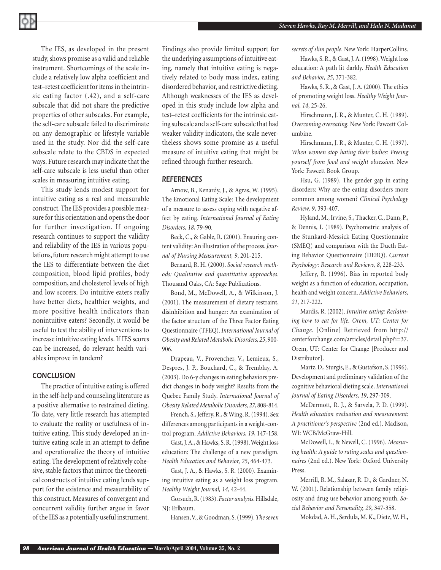The IES, as developed in the present study, shows promise as a valid and reliable instrument. Shortcomings of the scale include a relatively low alpha coefficient and test–retest coefficient for items in the intrinsic eating factor (.42), and a self-care subscale that did not share the predictive properties of other subscales. For example, the self-care subscale failed to discriminate on any demographic or lifestyle variable used in the study. Nor did the self-care subscale relate to the CBDS in expected ways. Future research may indicate that the self-care subscale is less useful than other scales in measuring intuitive eating.

This study lends modest support for intuitive eating as a real and measurable construct. The IES provides a possible measure for this orientation and opens the door for further investigation. If ongoing research continues to support the validity and reliability of the IES in various populations, future research might attempt to use the IES to differentiate between the diet composition, blood lipid profiles, body composition, and cholesterol levels of high and low scorers. Do intuitive eaters really have better diets, healthier weights, and more positive health indicators than nonintuitive eaters? Secondly, it would be useful to test the ability of interventions to increase intuitive eating levels. If IES scores can be increased, do relevant health variables improve in tandem?

#### *CONCLUSION*

The practice of intuitive eating is offered in the self-help and counseling literature as a positive alternative to restrained dieting. To date, very little research has attempted to evaluate the reality or usefulness of intuitive eating. This study developed an intuitive eating scale in an attempt to define and operationalize the theory of intuitive eating. The development of relatively cohesive, stable factors that mirror the theoretical constructs of intuitive eating lends support for the existence and measurability of this construct. Measures of convergent and concurrent validity further argue in favor of the IES as a potentially useful instrument.

Findings also provide limited support for the underlying assumptions of intuitive eating, namely that intuitive eating is negatively related to body mass index, eating disordered behavior, and restrictive dieting. Although weaknesses of the IES as developed in this study include low alpha and test–retest coefficients for the intrinsic eating subscale and a self-care subscale that had weaker validity indicators, the scale nevertheless shows some promise as a useful measure of intuitive eating that might be refined through further research.

#### *REFERENCES*

Arnow, B., Kenardy, J., & Agras, W. (1995). The Emotional Eating Scale: The development of a measure to assess coping with negative affect by eating. *International Journal of Eating Disorders, 18*, 79-90.

Beck, C., & Gable, R. (2001). Ensuring content validity: An illustration of the process. *Journal of Nursing Measurement, 9*, 201-215.

Bernard, R. H. (2000). *Social research methods: Qualitative and quantitative approaches*. Thousand Oaks, CA: Sage Publications.

Bond, M., McDowell, A., & Wilkinson, J. (2001). The measurement of dietary restraint, disinhibition and hunger: An examination of the factor structure of the Three Factor Eating Questionnaire (TFEQ). *International Journal of Obesity and Related Metabolic Disorders, 25*, 900- 906.

Drapeau, V., Provencher, V., Lemieux, S., Despres, J. P., Bouchard, C., & Tremblay, A. (2003). Do 6-y changes in eating behaviors predict changes in body weight? Results from the Quebec Family Study. *International Journal of Obesity Related Metabolic Disorders, 27*, 808-814.

French, S., Jeffery, R., & Wing, R. (1994). Sex differences among participants in a weight-control program. *Addictive Behaviors, 19*, 147-158.

Gast, J. A., & Hawks, S. R. (1998). Weight loss education: The challenge of a new paradigm. *Health Education and Behavior, 25*, 464-473.

Gast, J. A., & Hawks, S. R. (2000). Examining intuitive eating as a weight loss program. *Healthy Weight Journal, 14*, 42-44.

Gorsuch, R. (1983). *Factor analysis*. Hillsdale, NJ: Erlbaum.

Hansen, V., & Goodman, S. (1999). *The seven*

*secrets of slim people*. New York: HarperCollins.

Hawks, S. R., & Gast, J. A. (1998). Weight loss education: A path lit darkly. *Health Education and Behavior, 25*, 371-382.

Hawks, S. R., & Gast, J. A. (2000). The ethics of promoting weight loss. *Healthy Weight Journal, 14*, 25-26.

Hirschmann, J. R., & Munter, C. H. (1989). *Overcoming overeating*. New York: Fawcett Columbine.

Hirschmann, J. R., & Munter, C. H. (1997). *When women stop hating their bodies: Freeing yourself from food and weight obsession*. New York: Fawcett Book Group.

Hsu, G. (1989). The gender gap in eating disorders: Why are the eating disorders more common among women? *Clinical Psychology Review, 9*, 393-407.

Hyland, M., Irvine, S., Thacker, C., Dann, P., & Dennis, I. (1989). Psychometric analysis of the Stunkard-Messick Eating Questionnaire (SMEQ) and comparison with the Ducth Eating Behavior Questionnaire (DEBQ). *Current Psychology: Research and Reviews, 8*, 228-233.

Jeffery, R. (1996). Bias in reported body weight as a function of education, occupation, health and weight concern. *Addictive Behaviors, 21*, 217-222.

Mardis, R. (2002). *Intuitive eating: Reclaiming how to eat for life. Orem, UT: Center for Change*. [Online] Retrieved from http:// centerforchange.com/articles/detail.php?i=37. Orem, UT: Center for Change [Producer and Distributor].

Martz, D., Sturgis, E., & Gustafson, S. (1996). Development and preliminary validation of the cognitive behavioral dieting scale. *International Journal of Eating Disorders, 19*, 297-309.

McDermott, R. J., & Sarvela, P. D. (1999). *Health education evaluation and measurement: A practitioner's perspective* (2nd ed.). Madison, WI: WCB/McGraw-Hill.

McDowell, I., & Newell, C. (1996). *Measuring health: A guide to rating scales and questionnaires* (2nd ed.). New York: Oxford University Press.

Merrill, R. M., Salazar, R. D., & Gardner, N. W. (2001). Relationship between family religiosity and drug use behavior among youth. *Social Behavior and Personality, 29*, 347-358.

Mokdad, A. H., Serdula, M. K., Dietz, W. H.,